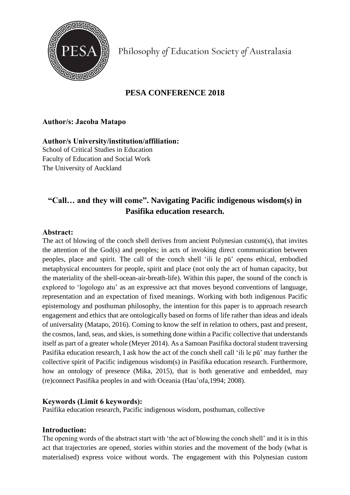

Philosophy of Education Society of Australasia

# **PESA CONFERENCE 2018**

### **Author/s: Jacoba Matapo**

**Author/s University/institution/affiliation:**  School of Critical Studies in Education Faculty of Education and Social Work The University of Auckland

## **"Call… and they will come". Navigating Pacific indigenous wisdom(s) in Pasifika education research.**

#### **Abstract:**

The act of blowing of the conch shell derives from ancient Polynesian custom(s), that invites the attention of the God(s) and peoples; in acts of invoking direct communication between peoples, place and spirit. The call of the conch shell 'ili le pū' opens ethical, embodied metaphysical encounters for people, spirit and place (not only the act of human capacity, but the materiality of the shell-ocean-air-breath-life). Within this paper, the sound of the conch is explored to 'logologo atu' as an expressive act that moves beyond conventions of language, representation and an expectation of fixed meanings. Working with both indigenous Pacific epistemology and posthuman philosophy, the intention for this paper is to approach research engagement and ethics that are ontologically based on forms of life rather than ideas and ideals of universality (Matapo, 2016). Coming to know the self in relation to others, past and present, the cosmos, land, seas, and skies, is something done within a Pacific collective that understands itself as part of a greater whole (Meyer 2014). As a Samoan Pasifika doctoral student traversing Pasifika education research, I ask how the act of the conch shell call 'ili le pū' may further the collective spirit of Pacific indigenous wisdom(s) in Pasifika education research. Furthermore, how an ontology of presence (Mika, 2015), that is both generative and embedded, may (re)connect Pasifika peoples in and with Oceania (Hau'ofa,1994; 2008).

#### **Keywords (Limit 6 keywords):**

Pasifika education research, Pacific indigenous wisdom, posthuman, collective

#### **Introduction:**

The opening words of the abstract start with 'the act of blowing the conch shell' and it is in this act that trajectories are opened, stories within stories and the movement of the body (what is materialised) express voice without words. The engagement with this Polynesian custom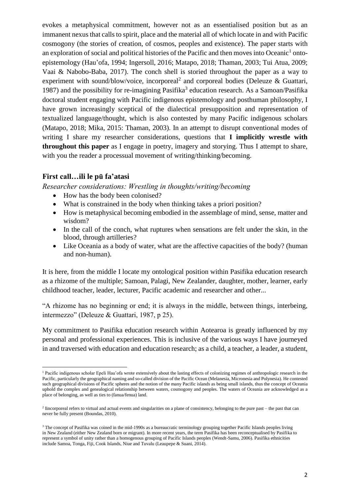evokes a metaphysical commitment, however not as an essentialised position but as an immanent nexus that calls to spirit, place and the material all of which locate in and with Pacific cosmogony (the stories of creation, of cosmos, peoples and existence). The paper starts with an exploration of social and political histories of the Pacific and then moves into Oceanic<sup>1</sup> ontoepistemology (Hau'ofa, 1994; Ingersoll, 2016; Matapo, 2018; Thaman, 2003; Tui Atua, 2009; Vaai & Nabobo-Baba, 2017). The conch shell is storied throughout the paper as a way to experiment with sound/blow/voice, incorporeal<sup>2</sup> and corporeal bodies (Deleuze & Guattari, 1987) and the possibility for re-imagining Pasifika<sup>3</sup> education research. As a Samoan/Pasifika doctoral student engaging with Pacific indigenous epistemology and posthuman philosophy, I have grown increasingly sceptical of the dialectical presupposition and representation of textualized language/thought, which is also contested by many Pacific indigenous scholars (Matapo, 2018; Mika, 2015: Thaman, 2003). In an attempt to disrupt conventional modes of writing I share my researcher considerations, questions that **I implicitly wrestle with throughout this paper** as I engage in poetry, imagery and storying. Thus I attempt to share, with you the reader a processual movement of writing/thinking/becoming.

#### **First call…ili le pū fa'atasi**

*Researcher considerations: Wrestling in thoughts/writing/becoming* 

- How has the body been colonised?
- What is constrained in the body when thinking takes a priori position?
- How is metaphysical becoming embodied in the assemblage of mind, sense, matter and wisdom?
- In the call of the conch, what ruptures when sensations are felt under the skin, in the blood, through artilleries?
- Like Oceania as a body of water, what are the affective capacities of the body? (human and non-human).

It is here, from the middle I locate my ontological position within Pasifika education research as a rhizome of the multiple; Samoan, Palagi, New Zealander, daughter, mother, learner, early childhood teacher, leader, lecturer, Pacific academic and researcher and other...

"A rhizome has no beginning or end; it is always in the middle, between things, interbeing, intermezzo" (Deleuze & Guattari, 1987, p 25).

My commitment to Pasifika education research within Aotearoa is greatly influenced by my personal and professional experiences. This is inclusive of the various ways I have journeyed in and traversed with education and education research; as a child, a teacher, a leader, a student,

**<sup>.</sup>** <sup>1</sup> Pacific indigenous scholar Epeli Hau'ofa wrote extensively about the lasting effects of colonizing regimes of anthropologic research in the Pacific, particularly the geographical naming and so-called division of the Pacific Ocean (Melanesia, Micronesia and Polynesia). He contested such geographical divisions of Pacific spheres and the notion of the many Pacific islands as being small islands, thus the concept of Oceania uphold the complex and genealogical relationship between waters, cosmogony and peoples. The waters of Oceania are acknowledged as a place of belonging, as well as ties to (fanua/fenua) land.

 $<sup>2</sup>$  lincorporeal refers to virtual and actual events and singularities on a plane of consistency, belonging to the pure past – the past that can</sup> never be fully present (Boundas, 2010).

<sup>&</sup>lt;sup>3</sup> The concept of Pasifika was coined in the mid-1990s as a bureaucratic terminology grouping together Pacific Islands peoples living in New Zealand (either New Zealand born or migrant). In more recent years, the term Pasifika has been reconceptualised by Pasifika to represent a symbol of unity rather than a homogenous grouping of Pacific Islands peoples (Wendt-Samu, 2006). Pasifika ethnicities include Samoa, Tonga, Fiji, Cook Islands, Niue and Tuvalu (Leaupepe & Suani, 2014).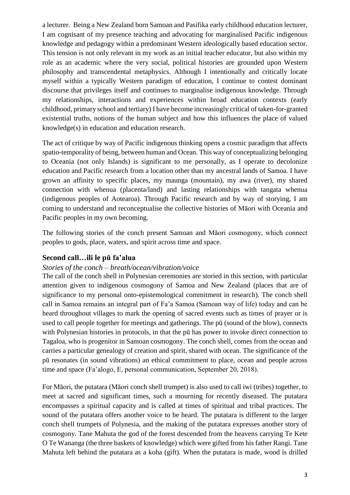a lecturer. Being a New Zealand born Samoan and Pasifika early childhood education lecturer, I am cognisant of my presence teaching and advocating for marginalised Pacific indigenous knowledge and pedagogy within a predominant Western ideologically based education sector. This tension is not only relevant in my work as an initial teacher educator, but also within my role as an academic where the very social, political histories are grounded upon Western philosophy and transcendental metaphysics. Although I intentionally and critically locate myself within a typically Western paradigm of education, I continue to contest dominant discourse that privileges itself and continues to marginalise indigenous knowledge. Through my relationships, interactions and experiences within broad education contexts (early childhood, primary school and tertiary) I have become increasingly critical of taken-for-granted existential truths, notions of the human subject and how this influences the place of valued knowledge(s) in education and education research.

The act of critique by way of Pacific indigenous thinking opens a cosmic paradigm that affects spatio-temporality of being, between human and Ocean. This way of conceptualizing belonging to Oceania (not only Islands) is significant to me personally, as I operate to decolonize education and Pacific research from a location other than my ancestral lands of Samoa. I have grown an affinity to specific places, my maunga (mountain), my awa (river), my shared connection with whenua (placenta/land) and lasting relationships with tangata whenua (indigenous peoples of Aotearoa). Through Pacific research and by way of storying, I am coming to understand and reconceptualise the collective histories of Māori with Oceania and Pacific peoples in my own becoming.

The following stories of the conch present Samoan and Māori cosmogony, which connect peoples to gods, place, waters, and spirit across time and space.

#### **Second call…ili le pū fa'alua**

#### *Stories of the conch – breath/ocean/vibration/voice*

The call of the conch shell in Polynesian ceremonies are storied in this section, with particular attention given to indigenous cosmogony of Samoa and New Zealand (places that are of significance to my personal onto-epistemological commitment in research). The conch shell call in Samoa remains an integral part of Fa'a Samoa (Samoan way of life) today and can be heard throughout villages to mark the opening of sacred events such as times of prayer or is used to call people together for meetings and gatherings. The pū (sound of the blow), connects with Polynesian histories in protocols, in that the pū has power to invoke direct connection to Tagaloa, who is progenitor in Samoan cosmogony. The conch shell, comes from the ocean and carries a particular genealogy of creation and spirit, shared with ocean. The significance of the pū resonates (in sound vibrations) an ethical commitment to place, ocean and people across time and space (Fa'alogo, E, personal communication, September 20, 2018).

For Māori, the putatara (Māori conch shell trumpet) is also used to call iwi (tribes) together, to meet at sacred and significant times, such a mourning for recently diseased. The putatara encompasses a spiritual capacity and is called at times of spiritual and tribal practices. The sound of the putatara offers another voice to be heard. The putatara is different to the larger conch shell trumpets of Polynesia, and the making of the putatara expresses another story of cosmogony. Tane Mahuta the god of the forest descended from the heavens carrying Te Kete O Te Wananga (the three baskets of knowledge) which were gifted from his father Rangi. Tane Mahuta left behind the putatara as a koha (gift). When the putatara is made, wood is drilled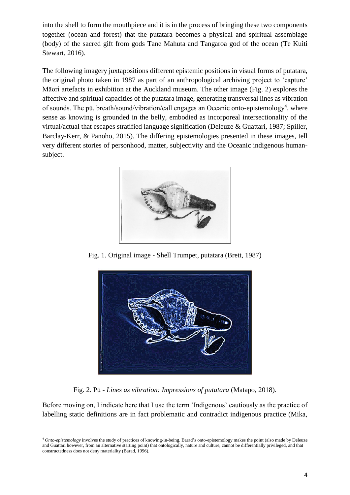into the shell to form the mouthpiece and it is in the process of bringing these two components together (ocean and forest) that the putatara becomes a physical and spiritual assemblage (body) of the sacred gift from gods Tane Mahuta and Tangaroa god of the ocean (Te Kuiti Stewart, 2016).

The following imagery juxtapositions different epistemic positions in visual forms of putatara, the original photo taken in 1987 as part of an anthropological archiving project to 'capture' Māori artefacts in exhibition at the Auckland museum. The other image (Fig. 2) explores the affective and spiritual capacities of the putatara image, generating transversal lines as vibration of sounds. The pū, breath/sound/vibration/call engages an Oceanic onto-epistemology<sup>4</sup>, where sense as knowing is grounded in the belly, embodied as incorporeal intersectionality of the virtual/actual that escapes stratified language signification (Deleuze & Guattari, 1987; Spiller, Barclay-Kerr, & Panoho, 2015). The differing epistemologies presented in these images, tell very different stories of personhood, matter, subjectivity and the Oceanic indigenous humansubject.



Fig. 1. Original image - Shell Trumpet, putatara (Brett, 1987)



Fig. 2. Pū - *Lines as vibration: Impressions of putatara* (Matapo, 2018).

Before moving on, I indicate here that I use the term 'Indigenous' cautiously as the practice of labelling static definitions are in fact problematic and contradict indigenous practice (Mika,

1

<sup>4</sup> *Onto-epistemology* involves the study of practices of knowing-in-being. Barad's onto-epistemology makes the point (also made by Deleuze and Guattari however, from an alternative starting point) that ontologically, nature and culture, cannot be differentially privileged, and that constructedness does not deny materiality (Barad, 1996).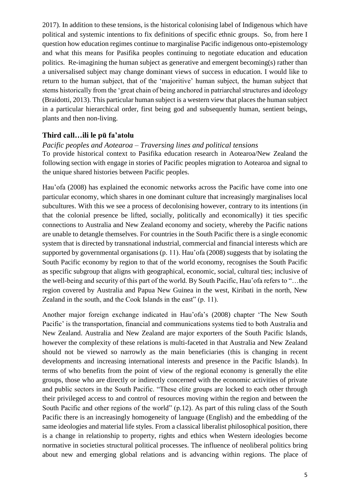2017). In addition to these tensions, is the historical colonising label of Indigenous which have political and systemic intentions to fix definitions of specific ethnic groups. So, from here I question how education regimes continue to marginalise Pacific indigenous onto-epistemology and what this means for Pasifika peoples continuing to negotiate education and education politics. Re-imagining the human subject as generative and emergent becoming(s) rather than a universalised subject may change dominant views of success in education. I would like to return to the human subject, that of the 'majoritive' human subject, the human subject that stems historically from the 'great chain of being anchored in patriarchal structures and ideology (Braidotti, 2013). This particular human subject is a western view that places the human subject in a particular hierarchical order, first being god and subsequently human, sentient beings, plants and then non-living.

#### **Third call…ili le pū fa'atolu**

#### *Pacific peoples and Aotearoa – Traversing lines and political tensions*

To provide historical context to Pasifika education research in Aotearoa/New Zealand the following section with engage in stories of Pacific peoples migration to Aotearoa and signal to the unique shared histories between Pacific peoples.

Hau'ofa (2008) has explained the economic networks across the Pacific have come into one particular economy, which shares in one dominant culture that increasingly marginalises local subcultures. With this we see a process of decolonising however, contrary to its intentions (in that the colonial presence be lifted, socially, politically and economically) it ties specific connections to Australia and New Zealand economy and society, whereby the Pacific nations are unable to detangle themselves. For countries in the South Pacific there is a single economic system that is directed by transnational industrial, commercial and financial interests which are supported by governmental organisations (p. 11). Hau'ofa (2008) suggests that by isolating the South Pacific economy by region to that of the world economy, recognises the South Pacific as specific subgroup that aligns with geographical, economic, social, cultural ties; inclusive of the well-being and security of this part of the world. By South Pacific, Hau'ofa refers to "…the region covered by Australia and Papua New Guinea in the west, Kiribati in the north, New Zealand in the south, and the Cook Islands in the east" (p. 11).

Another major foreign exchange indicated in Hau'ofa's (2008) chapter 'The New South Pacific' is the transportation, financial and communications systems tied to both Australia and New Zealand. Australia and New Zealand are major exporters of the South Pacific Islands, however the complexity of these relations is multi-faceted in that Australia and New Zealand should not be viewed so narrowly as the main beneficiaries (this is changing in recent developments and increasing international interests and presence in the Pacific Islands). In terms of who benefits from the point of view of the regional economy is generally the elite groups, those who are directly or indirectly concerned with the economic activities of private and public sectors in the South Pacific. "These elite groups are locked to each other through their privileged access to and control of resources moving within the region and between the South Pacific and other regions of the world" (p.12). As part of this ruling class of the South Pacific there is an increasingly homogeneity of language (English) and the embedding of the same ideologies and material life styles. From a classical liberalist philosophical position, there is a change in relationship to property, rights and ethics when Western ideologies become normative in societies structural political processes. The influence of neoliberal politics bring about new and emerging global relations and is advancing within regions. The place of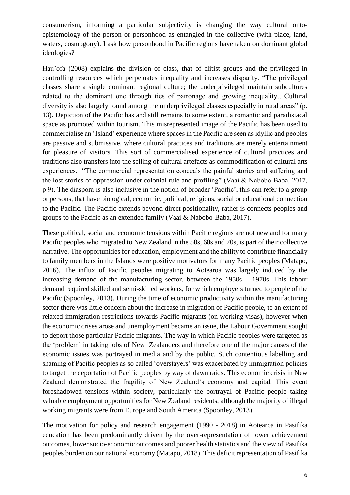consumerism, informing a particular subjectivity is changing the way cultural ontoepistemology of the person or personhood as entangled in the collective (with place, land, waters, cosmogony). I ask how personhood in Pacific regions have taken on dominant global ideologies?

Hau'ofa (2008) explains the division of class, that of elitist groups and the privileged in controlling resources which perpetuates inequality and increases disparity. "The privileged classes share a single dominant regional culture; the underprivileged maintain subcultures related to the dominant one through ties of patronage and growing inequality…Cultural diversity is also largely found among the underprivileged classes especially in rural areas" (p. 13). Depiction of the Pacific has and still remains to some extent, a romantic and paradisiacal space as promoted within tourism. This misrepresented image of the Pacific has been used to commercialise an 'Island' experience where spaces in the Pacific are seen as idyllic and peoples are passive and submissive, where cultural practices and traditions are merely entertainment for pleasure of visitors. This sort of commercialised experience of cultural practices and traditions also transfers into the selling of cultural artefacts as commodification of cultural arts experiences. "The commercial representation conceals the painful stories and suffering and the lost stories of oppression under colonial rule and profiling" (Vaai & Nabobo-Baba, 2017, p 9). The diaspora is also inclusive in the notion of broader 'Pacific', this can refer to a group or persons, that have biological, economic, political, religious, social or educational connection to the Pacific. The Pacific extends beyond direct positionality, rather is connects peoples and groups to the Pacific as an extended family (Vaai & Nabobo-Baba, 2017).

These political, social and economic tensions within Pacific regions are not new and for many Pacific peoples who migrated to New Zealand in the 50s, 60s and 70s, is part of their collective narrative. The opportunities for education, employment and the ability to contribute financially to family members in the Islands were positive motivators for many Pacific peoples (Matapo, 2016). The influx of Pacific peoples migrating to Aotearoa was largely induced by the increasing demand of the manufacturing sector, between the 1950s – 1970s. This labour demand required skilled and semi-skilled workers, for which employers turned to people of the Pacific (Spoonley, 2013). During the time of economic productivity within the manufacturing sector there was little concern about the increase in migration of Pacific people, to an extent of relaxed immigration restrictions towards Pacific migrants (on working visas), however when the economic crises arose and unemployment became an issue, the Labour Government sought to deport those particular Pacific migrants. The way in which Pacific peoples were targeted as the 'problem' in taking jobs of New Zealanders and therefore one of the major causes of the economic issues was portrayed in media and by the public. Such contentious labelling and shaming of Pacific peoples as so called 'overstayers' was exacerbated by immigration policies to target the deportation of Pacific peoples by way of dawn raids. This economic crisis in New Zealand demonstrated the fragility of New Zealand's economy and capital. This event foreshadowed tensions within society, particularly the portrayal of Pacific people taking valuable employment opportunities for New Zealand residents, although the majority of illegal working migrants were from Europe and South America (Spoonley, 2013).

The motivation for policy and research engagement (1990 - 2018) in Aotearoa in Pasifika education has been predominantly driven by the over-representation of lower achievement outcomes, lower socio-economic outcomes and poorer health statistics and the view of Pasifika peoples burden on our national economy (Matapo, 2018). This deficit representation of Pasifika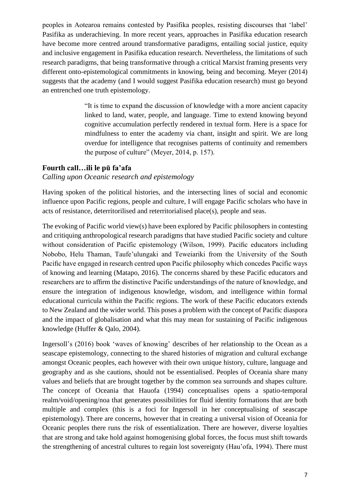peoples in Aotearoa remains contested by Pasifika peoples, resisting discourses that 'label' Pasifika as underachieving. In more recent years, approaches in Pasifika education research have become more centred around transformative paradigms, entailing social justice, equity and inclusive engagement in Pasifika education research. Nevertheless, the limitations of such research paradigms, that being transformative through a critical Marxist framing presents very different onto-epistemological commitments in knowing, being and becoming. Meyer (2014) suggests that the academy (and I would suggest Pasifika education research) must go beyond an entrenched one truth epistemology.

> "It is time to expand the discussion of knowledge with a more ancient capacity linked to land, water, people, and language. Time to extend knowing beyond cognitive accumulation perfectly rendered in textual form. Here is a space for mindfulness to enter the academy via chant, insight and spirit. We are long overdue for intelligence that recognises patterns of continuity and remembers the purpose of culture" (Meyer, 2014, p. 157).

#### **Fourth call…ili le pū fa'afa**

*Calling upon Oceanic research and epistemology*

Having spoken of the political histories, and the intersecting lines of social and economic influence upon Pacific regions, people and culture, I will engage Pacific scholars who have in acts of resistance, deterritorilised and reterritorialised place(s), people and seas.

The evoking of Pacific world view(s) have been explored by Pacific philosophers in contesting and critiquing anthropological research paradigms that have studied Pacific society and culture without consideration of Pacific epistemology (Wilson, 1999). Pacific educators including Nobobo, Helu Thaman, Taufe'ulungaki and Teweiariki from the University of the South Pacific have engaged in research centred upon Pacific philosophy which concedes Pacific ways of knowing and learning (Matapo, 2016). The concerns shared by these Pacific educators and researchers are to affirm the distinctive Pacific understandings of the nature of knowledge, and ensure the integration of indigenous knowledge, wisdom, and intelligence within formal educational curricula within the Pacific regions. The work of these Pacific educators extends to New Zealand and the wider world. This poses a problem with the concept of Pacific diaspora and the impact of globalisation and what this may mean for sustaining of Pacific indigenous knowledge (Huffer & Qalo, 2004).

Ingersoll's (2016) book 'waves of knowing' describes of her relationship to the Ocean as a seascape epistemology, connecting to the shared histories of migration and cultural exchange amongst Oceanic peoples, each however with their own unique history, culture, language and geography and as she cautions, should not be essentialised. Peoples of Oceania share many values and beliefs that are brought together by the common sea surrounds and shapes culture. The concept of Oceania that Hauofa (1994) conceptualises opens a spatio-temporal realm/void/opening/noa that generates possibilities for fluid identity formations that are both multiple and complex (this is a foci for Ingersoll in her conceptualising of seascape epistemology). There are concerns, however that in creating a universal vision of Oceania for Oceanic peoples there runs the risk of essentialization. There are however, diverse loyalties that are strong and take hold against homogenising global forces, the focus must shift towards the strengthening of ancestral cultures to regain lost sovereignty (Hau'ofa, 1994). There must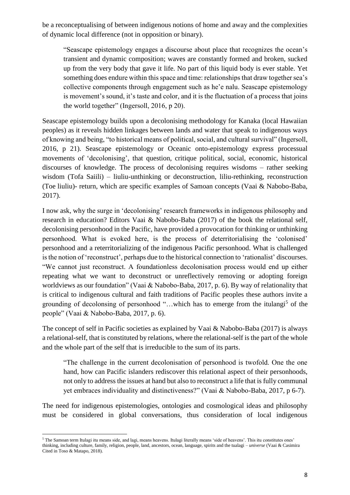be a reconceptualising of between indigenous notions of home and away and the complexities of dynamic local difference (not in opposition or binary).

"Seascape epistemology engages a discourse about place that recognizes the ocean's transient and dynamic composition; waves are constantly formed and broken, sucked up from the very body that gave it life. No part of this liquid body is ever stable. Yet something does endure within this space and time: relationships that draw together sea's collective components through engagement such as he'e nalu. Seascape epistemology is movement's sound, it's taste and color, and it is the fluctuation of a process that joins the world together" (Ingersoll, 2016, p 20).

Seascape epistemology builds upon a decolonising methodology for Kanaka (local Hawaiian peoples) as it reveals hidden linkages between lands and water that speak to indigenous ways of knowing and being, "to historical means of political, social, and cultural survival" (Ingersoll, 2016, p 21). Seascape epistemology or Oceanic onto-epistemology express processual movements of 'decolonising', that question, critique political, social, economic, historical discourses of knowledge. The process of decolonising requires wisdoms – rather seeking wisdom (Tofa Saiili) – liuliu-unthinking or deconstruction, liliu-rethinking, reconstruction (Toe liuliu)- return, which are specific examples of Samoan concepts (Vaai & Nabobo-Baba, 2017).

I now ask, why the surge in 'decolonising' research frameworks in indigenous philosophy and research in education? Editors Vaai & Nabobo-Baba (2017) of the book the relational self, decolonising personhood in the Pacific, have provided a provocation for thinking or unthinking personhood. What is evoked here, is the process of deterritorialising the 'colonised' personhood and a reterritorializing of the indigenous Pacific personhood. What is challenged is the notion of 'reconstruct', perhaps due to the historical connection to 'rationalist' discourses. "We cannot just reconstruct. A foundationless decolonisation process would end up either repeating what we want to deconstruct or unreflectively removing or adopting foreign worldviews as our foundation" (Vaai & Nabobo-Baba, 2017, p. 6). By way of relationality that is critical to indigenous cultural and faith traditions of Pacific peoples these authors invite a grounding of decolonsing of personhood "...which has to emerge from the itulangi<sup>5</sup> of the people" (Vaai & Nabobo-Baba, 2017, p. 6).

The concept of self in Pacific societies as explained by Vaai & Nabobo-Baba (2017) is always a relational-self, that is constituted by relations, where the relational-self is the part of the whole and the whole part of the self that is irreducible to the sum of its parts.

"The challenge in the current decolonisation of personhood is twofold. One the one hand, how can Pacific islanders rediscover this relational aspect of their personhoods, not only to address the issues at hand but also to reconstruct a life that is fully communal yet embraces individuality and distinctiveness?" (Vaai & Nabobo-Baba, 2017, p 6-7).

The need for indigenous epistemologies, ontologies and cosmological ideas and philosophy must be considered in global conversations, thus consideration of local indigenous

**<sup>.</sup>** <sup>5</sup> The Samoan term Itulagi itu means side, and lagi, means heavens. Itulagi literally means 'side of heavens'. This itu constitutes ones' thinking, including culture, family, religion, people, land, ancestors, ocean, language, spirits and the tualagi – *universe* (Vaai & Casimira Cited in Toso & Matapo, 2018).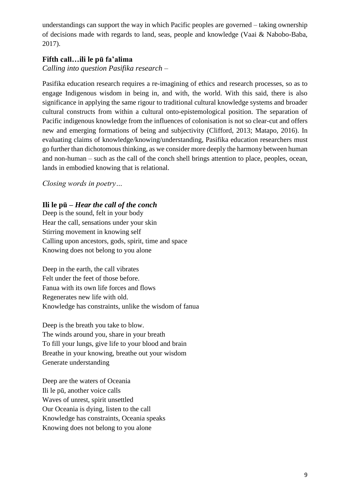understandings can support the way in which Pacific peoples are governed – taking ownership of decisions made with regards to land, seas, people and knowledge (Vaai & Nabobo-Baba, 2017).

### **Fifth call…ili le pū fa'alima**

*Calling into question Pasifika research –*

Pasifika education research requires a re-imagining of ethics and research processes, so as to engage Indigenous wisdom in being in, and with, the world. With this said, there is also significance in applying the same rigour to traditional cultural knowledge systems and broader cultural constructs from within a cultural onto-epistemological position. The separation of Pacific indigenous knowledge from the influences of colonisation is not so clear-cut and offers new and emerging formations of being and subjectivity (Clifford, 2013; Matapo, 2016). In evaluating claims of knowledge/knowing/understanding, Pasifika education researchers must go further than dichotomous thinking, as we consider more deeply the harmony between human and non-human – such as the call of the conch shell brings attention to place, peoples, ocean, lands in embodied knowing that is relational.

*Closing words in poetry…*

#### **Ili le pū** *– Hear the call of the conch*

Deep is the sound, felt in your body Hear the call, sensations under your skin Stirring movement in knowing self Calling upon ancestors, gods, spirit, time and space Knowing does not belong to you alone

Deep in the earth, the call vibrates Felt under the feet of those before. Fanua with its own life forces and flows Regenerates new life with old. Knowledge has constraints, unlike the wisdom of fanua

Deep is the breath you take to blow. The winds around you, share in your breath To fill your lungs, give life to your blood and brain Breathe in your knowing, breathe out your wisdom Generate understanding

Deep are the waters of Oceania Ili le pū, another voice calls Waves of unrest, spirit unsettled Our Oceania is dying, listen to the call Knowledge has constraints, Oceania speaks Knowing does not belong to you alone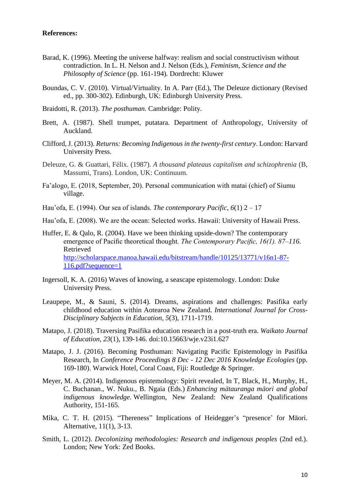#### **References:**

- Barad, K. (1996). Meeting the universe halfway: realism and social constructivism without contradiction. In L. H. Nelson and J. Nelson (Eds.), *Feminism, Science and the Philosophy of Science* (pp. 161-194)*.* Dordrecht: Kluwer
- Boundas, C. V. (2010). Virtual/Virtuality. In A. Parr (Ed.), The Deleuze dictionary (Revised ed., pp. 300-302). Edinburgh, UK: Edinburgh University Press.
- Braidotti, R. (2013). *The posthuman.* Cambridge: Polity.
- Brett, A. (1987). Shell trumpet, putatara. Department of Anthropology, University of Auckland.
- Clifford, J. (2013). *Returns: Becoming Indigenous in the twenty-first century*. London: Harvard University Press.
- Deleuze, G. & Guattari, Félix. (1987). *A thousand plateaus capitalism and schizophrenia* (B, Massumi, Trans). London, UK: Continuum.
- Fa'alogo, E. (2018, September, 20). Personal communication with matai (chief) of Siumu village.
- Hau'ofa, E. (1994). Our sea of islands. *The contemporary Pacific, 6*(1) 2 17
- Hau'ofa, E. (2008). We are the ocean: Selected works. Hawaii: University of Hawaii Press.
- Huffer, E. & Qalo, R. (2004). Have we been thinking upside-down? The contemporary emergence of Pacific theoretical thought*. The Contemporary Pacific, 16(1). 87–116.*  Retrieved [http://scholarspace.manoa.hawaii.edu/bitstream/handle/10125/13771/v16n1-87-](http://scholarspace.manoa.hawaii.edu/bitstream/handle/10125/13771/v16n1-87-116.pdf?sequence=1) [116.pdf?sequence=1](http://scholarspace.manoa.hawaii.edu/bitstream/handle/10125/13771/v16n1-87-116.pdf?sequence=1)
- Ingersoll, K. A. (2016) Waves of knowing, a seascape epistemology. London: Duke University Press.
- Leaupepe, M., & Sauni, S. (2014). Dreams, aspirations and challenges: Pasifika early childhood education within Aotearoa New Zealand. *International Journal for Cross-Disciplinary Subjects in Education, 5*(3), 1711-1719.
- Matapo, J. (2018). Traversing Pasifika education research in a post-truth era. *Waikato Journal of Education, 23*(1), 139-146. doi:10.15663/wje.v23i1.627
- Matapo, J. J. (2016). Becoming Posthuman: Navigating Pacific Epistemology in Pasifika Research, In *Conference Proceedings 8 Dec - 12 Dec 2016 Knowledge Ecologies* (pp. 169-180). Warwick Hotel, Coral Coast, Fiji: Routledge & Springer.
- Meyer, M. A. (2014). Indigenous epistemology: Spirit revealed, In T, Black, H., Murphy, H., C. Buchanan., W. Nuku., B. Ngaia (Eds.) *Enhancing mātauranga māori and global indigenous knowledge.* Wellington, New Zealand: New Zealand Qualifications Authority, 151-165.
- Mika, C. T. H. (2015). "Thereness" Implications of Heidegger's "presence' for Māori. Alternative, 11(1), 3-13.
- Smith, L. (2012). *Decolonizing methodologies: Research and indigenous peoples* (2nd ed.). London; New York: Zed Books.